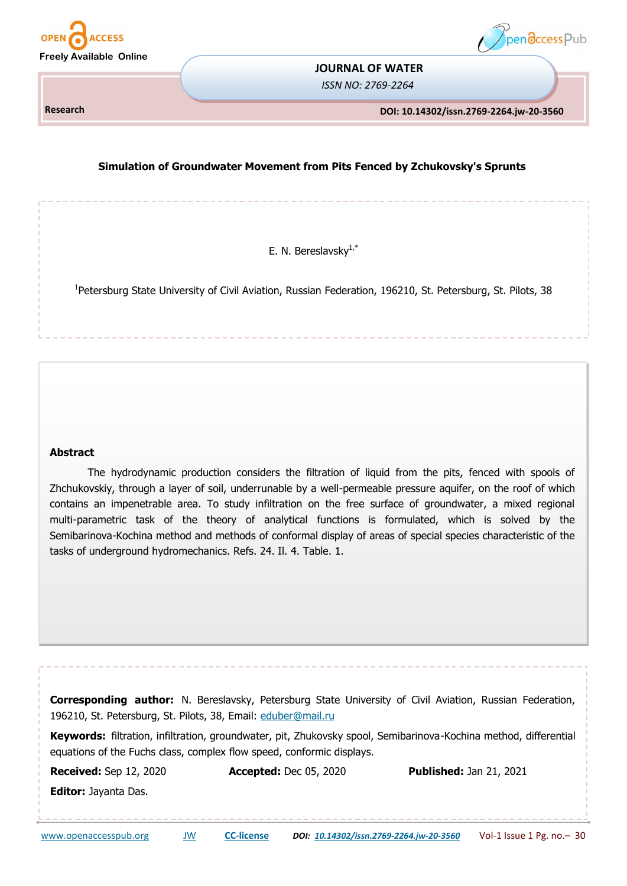



#### **JOURNAL OF WATER**

*ISSN NO: 2769-2264*

**Research** 

**DOI: 10.14302/issn.2769-2264.jw-20-3560** 

# **Simulation of Groundwater Movement from Pits Fenced by Zchukovsky's Sprunts**

E. N. Bereslavsky $1, *$ 

<sup>1</sup>Petersburg State University of Civil Aviation, Russian Federation, 196210, St. Petersburg, St. Pilots, 38

#### **Abstract**

The hydrodynamic production considers the filtration of liquid from the pits, fenced with spools of Zhchukovskiy, through a layer of soil, underrunable by a well-permeable pressure aquifer, on the roof of which contains an impenetrable area. To study infiltration on the free surface of groundwater, a mixed regional multi-parametric task of the theory of analytical functions is formulated, which is solved by the Semibarinova-Kochina method and methods of conformal display of areas of special species characteristic of the tasks of underground hydromechanics. Refs. 24. Il. 4. Table. 1.

**Corresponding author:** N. Bereslavsky, Petersburg State University of Civil Aviation, Russian Federation, 196210, St. Petersburg, St. Pilots, 38, Email: [eduber@mail.ru](mailto:eduber@mail.ru)

**Keywords:** filtration, infiltration, groundwater, pit, Zhukovsky spool, Semibarinova-Kochina method, differential equations of the Fuchs class, complex flow speed, conformic displays.

**Received:** Sep 12, 2020 **Accepted:** Dec 05, 2020 **Published:** Jan 21, 2021 **Editor:** Jayanta Das.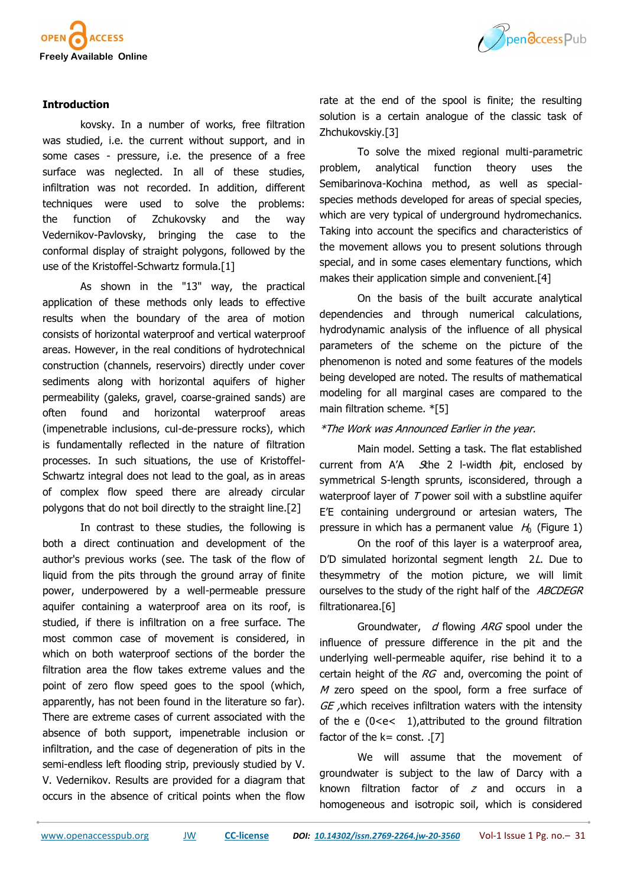

## **Introduction**

kovsky. In a number of works, free filtration was studied, i.e. the current without support, and in some cases - pressure, i.e. the presence of a free surface was neglected. In all of these studies, infiltration was not recorded. In addition, different techniques were used to solve the problems: the function of Zchukovsky and the way Vedernikov-Pavlovsky, bringing the case to the conformal display of straight polygons, followed by the use of the Kristoffel-Schwartz formula.[1]

As shown in the "13" way, the practical application of these methods only leads to effective results when the boundary of the area of motion consists of horizontal waterproof and vertical waterproof areas. However, in the real conditions of hydrotechnical construction (channels, reservoirs) directly under cover sediments along with horizontal aquifers of higher permeability (galeks, gravel, coarse-grained sands) are often found and horizontal waterproof areas (impenetrable inclusions, cul-de-pressure rocks), which is fundamentally reflected in the nature of filtration processes. In such situations, the use of Kristoffel-Schwartz integral does not lead to the goal, as in areas of complex flow speed there are already circular polygons that do not boil directly to the straight line.[2]

In contrast to these studies, the following is both a direct continuation and development of the author's previous works (see. The task of the flow of liquid from the pits through the ground array of finite power, underpowered by a well-permeable pressure aquifer containing a waterproof area on its roof, is studied, if there is infiltration on a free surface. The most common case of movement is considered, in which on both waterproof sections of the border the filtration area the flow takes extreme values and the point of zero flow speed goes to the spool (which, apparently, has not been found in the literature so far). There are extreme cases of current associated with the absence of both support, impenetrable inclusion or infiltration, and the case of degeneration of pits in the semi-endless left flooding strip, previously studied by V. V. Vedernikov. Results are provided for a diagram that occurs in the absence of critical points when the flow



rate at the end of the spool is finite; the resulting solution is a certain analogue of the classic task of Zhchukovskiy.[3]

To solve the mixed regional multi-parametric problem, analytical function theory uses the Semibarinova-Kochina method, as well as specialspecies methods developed for areas of special species, which are very typical of underground hydromechanics. Taking into account the specifics and characteristics of the movement allows you to present solutions through special, and in some cases elementary functions, which makes their application simple and convenient.[4]

On the basis of the built accurate analytical dependencies and through numerical calculations, hydrodynamic analysis of the influence of all physical parameters of the scheme on the picture of the phenomenon is noted and some features of the models being developed are noted. The results of mathematical modeling for all marginal cases are compared to the main filtration scheme. \*[5]

## \*The Work was Announced Earlier in the year.

Main model. Setting a task. The flat established current from  $A'A$  Sthe 2 l-width  $p$ it, enclosed by symmetrical S-length sprunts, isconsidered, through a waterproof layer of  $T$  power soil with a substline aquifer E'E containing underground or artesian waters, The pressure in which has a permanent value  $H_0$  (Figure 1)

On the roof of this layer is a waterproof area, D'D simulated horizontal segment length 2L. Due to thesymmetry of the motion picture, we will limit ourselves to the study of the right half of the ABCDEGR filtrationarea.[6]

Groundwater,  $d$  flowing ARG spool under the influence of pressure difference in the pit and the underlying well-permeable aquifer, rise behind it to a certain height of the  $RG$  and, overcoming the point of  $M$  zero speed on the spool, form a free surface of GE , which receives infiltration waters with the intensity of the e (0<e< 1),attributed to the ground filtration factor of the  $k=$  const. .[7]

We will assume that the movement of groundwater is subject to the law of Darcy with a known filtration factor of  $z$  and occurs in a homogeneous and isotropic soil, which is considered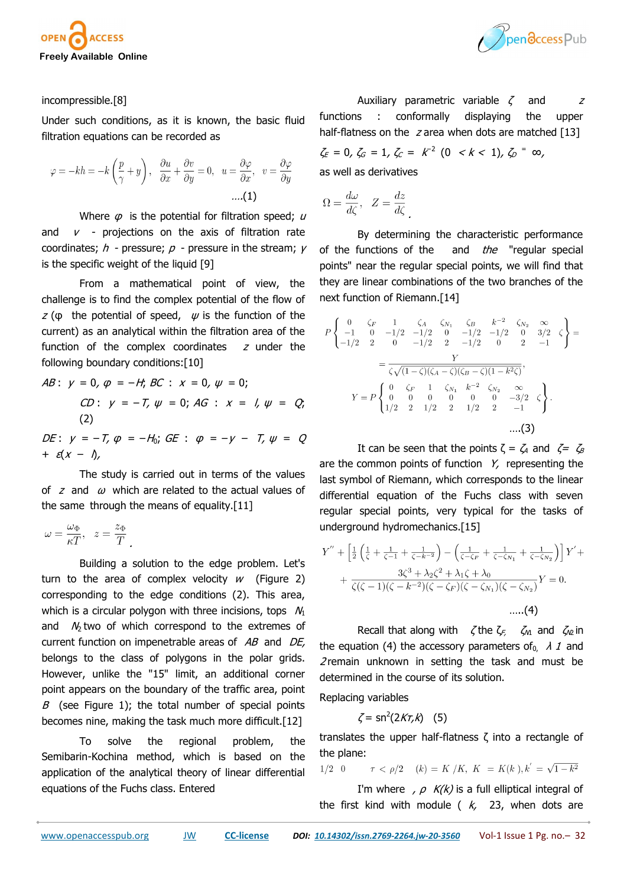



#### incompressible.[8]

Under such conditions, as it is known, the basic fluid filtration equations can be recorded as

$$
\varphi = -kh = -k\left(\frac{p}{\gamma} + y\right), \quad \frac{\partial u}{\partial x} + \frac{\partial v}{\partial y} = 0, \quad u = \frac{\partial \varphi}{\partial x}, \quad v = \frac{\partial \varphi}{\partial y}
$$

$$
\dots (1)
$$

Where  $\varphi$  is the potential for filtration speed;  $\mu$ and  $v$  - projections on the axis of filtration rate coordinates;  $h$  - pressure;  $p$  - pressure in the stream;  $V$ is the specific weight of the liquid [9]

From a mathematical point of view, the challenge is to find the complex potential of the flow of  $z$  ( $\varphi$  the potential of speed,  $\psi$  is the function of the current) as an analytical within the filtration area of the function of the complex coordinates  $z$  under the following boundary conditions:[10]

*AB*: 
$$
y = 0
$$
,  $\varphi = -H$ ; *BC*:  $x = 0$ ,  $\psi = 0$ ;  
\n*CD*:  $y = -T$ ,  $\psi = 0$ ; *AG*:  $x = 1$ ,  $\psi = Q$ ;  
\n(2)

DE:  $y = -T$ ,  $\varphi = -H_0$ ; GE:  $\varphi = -y - T$ ,  $\psi = Q$ +  $\varepsilon(x - \Delta)$ ,

The study is carried out in terms of the values of z and  $\omega$  which are related to the actual values of the same through the means of equality.[11]

$$
\omega = \frac{\omega_{\Phi}}{\kappa T}, \quad z = \frac{z_{\Phi}}{T}.
$$

Building a solution to the edge problem. Let's turn to the area of complex velocity  $w$  (Figure 2) corresponding to the edge conditions (2). This area, which is a circular polygon with three incisions, tops  $N_1$ and  $N_2$  two of which correspond to the extremes of current function on impenetrable areas of  $AB$  and  $DE$ , belongs to the class of polygons in the polar grids. However, unlike the "15" limit, an additional corner point appears on the boundary of the traffic area, point  $B$  (see Figure 1); the total number of special points becomes nine, making the task much more difficult.[12]

To solve the regional problem, the Semibarin-Kochina method, which is based on the application of the analytical theory of linear differential equations of the Fuchs class. Entered

Auxiliary parametric variable  $\zeta$  and  $\zeta$ functions : conformally displaying the upper half-flatness on the  $z$  area when dots are matched [13]

 $\zeta_{E} = 0$ ,  $\zeta_{G} = 1$ ,  $\zeta_{C} = k^{-2}$   $(0 \lt k \lt 1)$ ,  $\zeta_{D} = \infty$ , as well as derivatives

.

$$
\Omega = \frac{d\omega}{d\zeta}, \quad Z = \frac{dz}{d\zeta}
$$

By determining the characteristic performance of the functions of the and *the* "regular special points" near the regular special points, we will find that they are linear combinations of the two branches of the next function of Riemann.[14]

$$
P\begin{Bmatrix}\n0 & \zeta_F & 1 & \zeta_A & \zeta_{N_1} & \zeta_B & k^{-2} & \zeta_{N_2} & \infty \\
-1 & 0 & -1/2 & -1/2 & 0 & -1/2 & -1/2 & 0 & 3/2 & \zeta \\
-1/2 & 2 & 0 & -1/2 & 2 & -1/2 & 0 & 2 & -1\n\end{Bmatrix} = \frac{Y}{\zeta\sqrt{(1-\zeta)(\zeta_A-\zeta)(\zeta_B-\zeta)(1-k^2\zeta)}},
$$
\n
$$
Y = P\begin{Bmatrix}\n0 & \zeta_F & 1 & \zeta_{N_1} & k^{-2} & \zeta_{N_2} & \infty \\
0 & 0 & 0 & 0 & 0 & -3/2 & \zeta \\
1/2 & 2 & 1/2 & 2 & 1/2 & 2 & -1\n\end{Bmatrix}.
$$
\n...(3)

It can be seen that the points  $\zeta = \zeta_A$  and  $\zeta = \zeta_B$ are the common points of function  $Y$ , representing the last symbol of Riemann, which corresponds to the linear differential equation of the Fuchs class with seven regular special points, very typical for the tasks of underground hydromechanics.[15]

$$
Y'' + \left[\frac{1}{2}\left(\frac{1}{\zeta} + \frac{1}{\zeta - 1} + \frac{1}{\zeta - k^{-2}}\right) - \left(\frac{1}{\zeta - \zeta_F} + \frac{1}{\zeta - \zeta_{N_1}} + \frac{1}{\zeta - \zeta_{N_2}}\right)\right]Y' +
$$
  
+ 
$$
\frac{3\zeta^3 + \lambda_2\zeta^2 + \lambda_1\zeta + \lambda_0}{\zeta(\zeta - 1)(\zeta - k^{-2})(\zeta - \zeta_F)(\zeta - \zeta_{N_1})(\zeta - \zeta_{N_2})}Y = 0.
$$
....(4)

Recall that along with  $\zeta$  the  $\zeta_{\mathcal{E}}$   $\zeta_{\mathcal{M}}$  and  $\zeta_{\mathcal{N}}$  in the equation (4) the accessory parameters of<sub>0</sub>,  $\lambda$  1 and  $2$ remain unknown in setting the task and must be determined in the course of its solution.

Replacing variables

$$
\zeta = \text{sn}^2(2K\tau, k) \quad (5)
$$

translates the upper half-flatness ζ into a rectangle of the plane:

$$
1/2 \quad 0 \qquad \quad \tau < \rho/2 \quad \ (k) = \ K \ /K, \ \ K \ = \ K(k \ ), k^{'} = \sqrt{1-k^2}
$$

I'm where  $\rho$  K(k) is a full elliptical integral of the first kind with module  $(k, 23,$  when dots are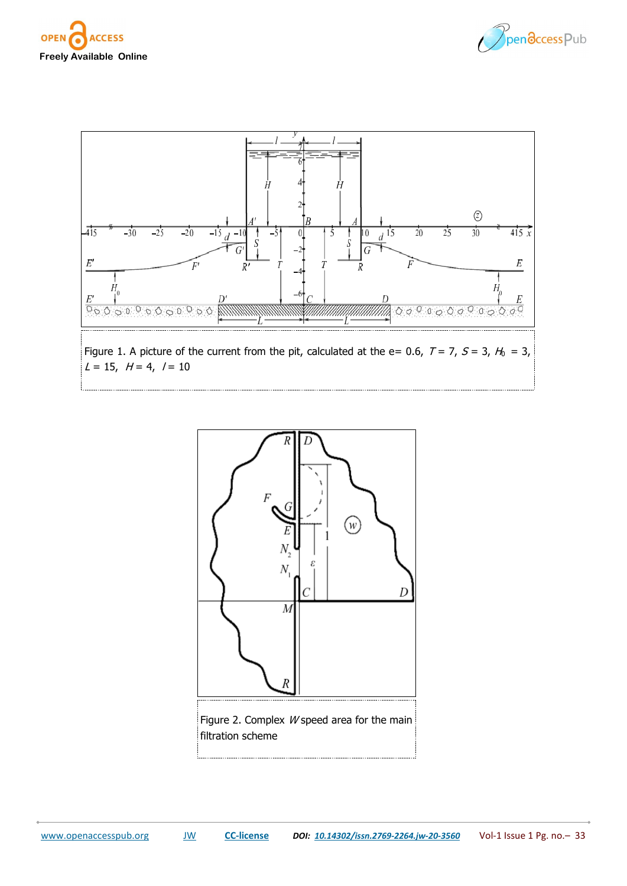







Figure 2. Complex W speed area for the main filtration scheme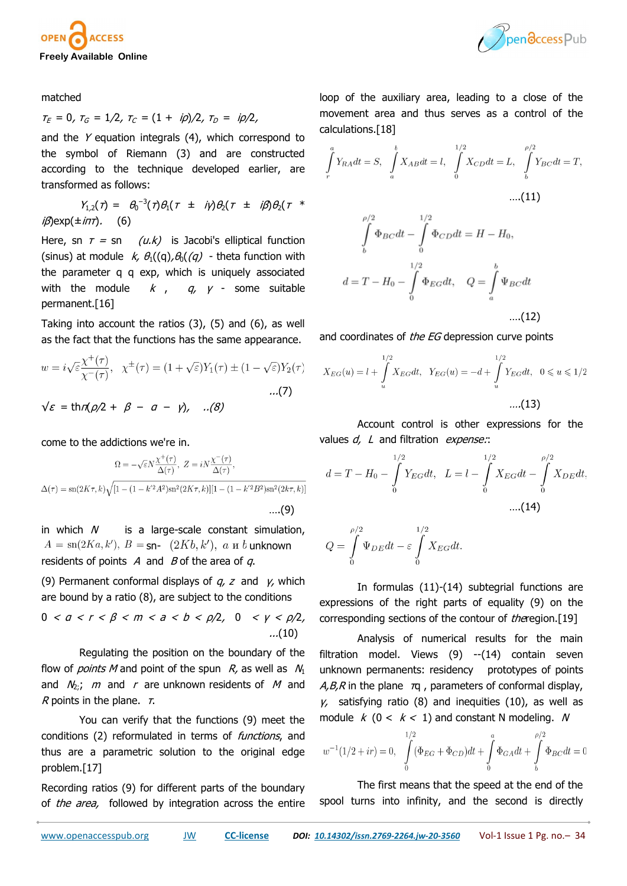



matched

 $\tau_E = 0$ ,  $\tau_G = 1/2$ ,  $\tau_C = (1 + i\rho)/2$ ,  $\tau_D = i\rho/2$ ,

and the Y equation integrals (4), which correspond to the symbol of Riemann (3) and are constructed according to the technique developed earlier, are transformed as follows:

$$
Y_{1,2}(\tau) = \theta_0^{-3}(\tau)\theta_1(\tau \pm i\gamma)\theta_2(\tau \pm i\beta)\theta_2(\tau \pm i\beta)
$$
  

$$
i\beta \exp(\pm i\pi\tau).
$$
 (6)

Here, sn  $\tau = \text{sn}$  (u.k) is Jacobi's elliptical function (sinus) at module  $k$ ,  $\theta_1$ ((q),  $\theta_0$ ((q) - theta function with the parameter q q exp, which is uniquely associated with the module  $k$ ,  $q$ ,  $\gamma$  - some suitable permanent.[16]

Taking into account the ratios (3), (5) and (6), as well as the fact that the functions has the same appearance.

$$
w = i\sqrt{\varepsilon} \frac{\chi^+(\tau)}{\chi^-(\tau)}, \quad \chi^{\pm}(\tau) = (1 + \sqrt{\varepsilon})Y_1(\tau) \pm (1 - \sqrt{\varepsilon})Y_2(\tau)
$$
  
...\n
$$
\mathcal{E} = \text{thr}(\rho/2 + \beta - a - \gamma), \quad \dots(8)
$$

come to the addictions we're in.

$$
\Omega = -\sqrt{\varepsilon} N \frac{\chi^+(\tau)}{\Delta(\tau)}, \ Z = iN \frac{\chi^-(\tau)}{\Delta(\tau)},
$$
  

$$
\Delta(\tau) = \text{sn}(2K\tau, k) \sqrt{[1 - (1 - k'^2 A^2) \text{sn}^2 (2K\tau, k)][1 - (1 - k'^2 B^2) \text{sn}^2 (2k\tau, k)]}
$$
...(9)

in which  $N$  is a large-scale constant simulation,  $A = \text{sn}(2Ka, k'), B = \text{sn} - (2Kb, k'), a \le b$  unknown residents of points  $\overline{A}$  and  $\overline{B}$  of the area of  $\overline{a}$ .

(9) Permanent conformal displays of  $q$ , z and  $\gamma$ , which are bound by a ratio (8), are subject to the conditions

$$
0 < a < r < \beta < m < a < b < \rho/2, \quad 0 < \gamma < \rho/2, \quad \dots \text{(10)}
$$

Regulating the position on the boundary of the flow of *points M* and point of the spun  $R$ , as well as  $N_1$ and  $N_2$ ; m and r are unknown residents of M and R points in the plane.  $\tau$ .

You can verify that the functions (9) meet the conditions (2) reformulated in terms of *functions*, and thus are a parametric solution to the original edge problem.[17]

Recording ratios (9) for different parts of the boundary of *the area*, followed by integration across the entire loop of the auxiliary area, leading to a close of the movement area and thus serves as a control of the calculations.[18]

$$
\int_{r}^{a} Y_{RA} dt = S, \quad \int_{a}^{b} X_{AB} dt = l, \quad \int_{0}^{1/2} X_{CD} dt = L, \quad \int_{b}^{\rho/2} Y_{BC} dt = T,
$$
\n....(11)\n
$$
\int_{b}^{\rho/2} \Phi_{BC} dt - \int_{0}^{1/2} \Phi_{CD} dt = H - H_0,
$$
\n
$$
d = T - H_0 - \int_{0}^{1/2} \Phi_{EG} dt, \quad Q = \int_{a}^{b} \Psi_{BC} dt
$$
\n(12)

….(12)

and coordinates of *the EG* depression curve points

$$
X_{EG}(u) = l + \int_{u}^{1/2} X_{EG} dt, \quad Y_{EG}(u) = -d + \int_{u}^{1/2} Y_{EG} dt, \quad 0 \le u \le 1/2
$$
\n....(13)

Account control is other expressions for the values  $d$ ,  $L$  and filtration expense:

$$
d = T - H_0 - \int_{0}^{1/2} Y_{EG} dt, \quad L = l - \int_{0}^{1/2} X_{EG} dt - \int_{0}^{\rho/2} X_{DE} dt,
$$
  
....(14)

$$
Q = \int_{0}^{\rho/2} \Psi_{DE} dt - \varepsilon \int_{0}^{1/2} X_{EG} dt.
$$

In formulas (11)-(14) subtegrial functions are expressions of the right parts of equality (9) on the corresponding sections of the contour of theregion.[19]

Analysis of numerical results for the main filtration model. Views (9) --(14) contain seven unknown permanents: residency prototypes of points  $A, B, R$  in the plane  $\pi q$ , parameters of conformal display,  $y$ , satisfying ratio (8) and inequities (10), as well as module  $k$  (0 <  $k$  < 1) and constant N modeling. N

$$
w^{-1}(1/2 + ir) = 0, \int_{0}^{1/2} (\Phi_{EG} + \Phi_{CD})dt + \int_{0}^{a} \Phi_{GA}dt + \int_{b}^{\rho/2} \Phi_{BC}dt = 0
$$

The first means that the speed at the end of the spool turns into infinity, and the second is directly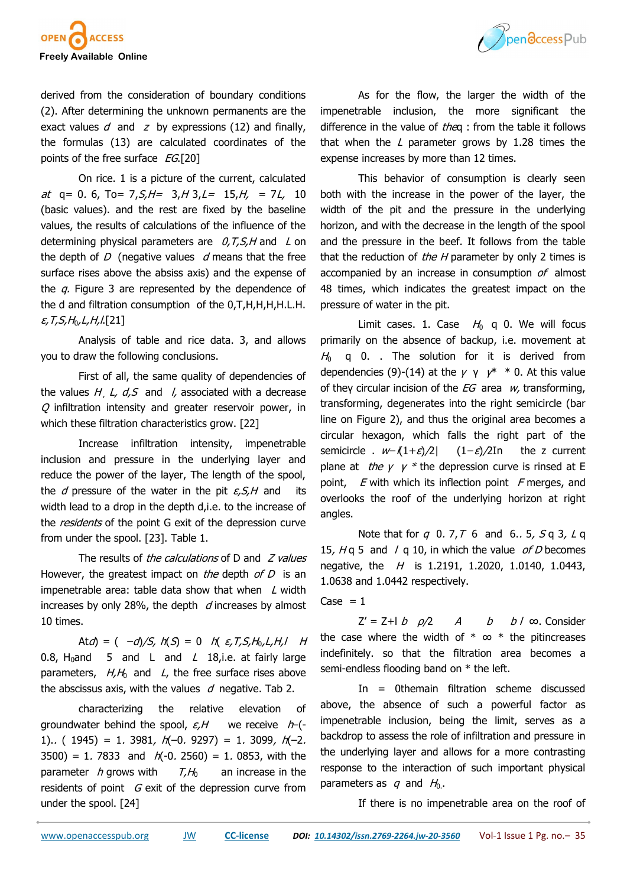



derived from the consideration of boundary conditions (2). After determining the unknown permanents are the exact values  $d$  and  $z$  by expressions (12) and finally, the formulas (13) are calculated coordinates of the points of the free surface  $EG$ [20]

On rice. 1 is a picture of the current, calculated at  $q= 0.6$ , To= 7, S, H = 3, H 3, L = 15, H, = 7L, 10 (basic values). and the rest are fixed by the baseline values, the results of calculations of the influence of the determining physical parameters are  $0, T, S, H$  and L on the depth of  $D$  (negative values  $d$  means that the free surface rises above the absiss axis) and the expense of the  $q$ . Figure 3 are represented by the dependence of the d and filtration consumption of the 0,T,H,H,H,H.L.H.  $\varepsilon$ , T, S, H<sub>0</sub>, L, H, l.[21]

Analysis of table and rice data. 3, and allows you to draw the following conclusions.

First of all, the same quality of dependencies of the values  $H_1 L$ ,  $d_2 S$  and l, associated with a decrease  $Q$  infiltration intensity and greater reservoir power, in which these filtration characteristics grow. [22]

Increase infiltration intensity, impenetrable inclusion and pressure in the underlying layer and reduce the power of the layer, The length of the spool, the *d* pressure of the water in the pit  $\varepsilon$ ,  $S$ ,  $H$  and its width lead to a drop in the depth d,i.e. to the increase of the *residents* of the point G exit of the depression curve from under the spool. [23]. Table 1.

The results of the calculations of  $D$  and  $Z$  values However, the greatest impact on *the* depth of  $D$  is an impenetrable area: table data show that when  $\angle$  width increases by only 28%, the depth  $d$  increases by almost 10 times.

Atd) =  $(-d)/5$ ,  $h(S) = 0$  h( $\varepsilon, T, S, H_0, L, H, H$ 0.8, H<sub>0</sub>and 5 and L and L 18, i.e. at fairly large parameters,  $H, H_0$  and L, the free surface rises above the abscissus axis, with the values  $d$  negative. Tab 2.

characterizing the relative elevation of groundwater behind the spool,  $\varepsilon$ , H we receive  $h$ -(-1).. ( 1945) = 1. 3981,  $h(-0.9297) = 1.3099$ ,  $h(-2.999)$ 3500) = 1. 7833 and  $h(-0.2560) = 1.0853$ , with the parameter h grows with  $T,H_0$  an increase in the residents of point  $G$  exit of the depression curve from under the spool. [24]

As for the flow, the larger the width of the impenetrable inclusion, the more significant the difference in the value of theq : from the table it follows that when the  $L$  parameter grows by 1.28 times the expense increases by more than 12 times.

This behavior of consumption is clearly seen both with the increase in the power of the layer, the width of the pit and the pressure in the underlying horizon, and with the decrease in the length of the spool and the pressure in the beef. It follows from the table that the reduction of the  $H$  parameter by only 2 times is accompanied by an increase in consumption of almost 48 times, which indicates the greatest impact on the pressure of water in the pit.

Limit cases. 1. Case  $H_0$  q 0. We will focus primarily on the absence of backup, i.e. movement at  $H_0$  q 0. . The solution for it is derived from dependencies (9)-(14) at the  $\gamma \gamma \gamma^* * 0$ . At this value of they circular incision of the  $EG$  area w, transforming, transforming, degenerates into the right semicircle (bar line on Figure 2), and thus the original area becomes a circular hexagon, which falls the right part of the semicircle .  $w-(1+\varepsilon)/2$ |  $(1-\varepsilon)/2$ In the z current plane at *the γ γ* \* the depression curve is rinsed at E point,  $E$  with which its inflection point  $F$  merges, and overlooks the roof of the underlying horizon at right angles.

Note that for  $q \ 0.7, T \ 6$  and  $6.6$ ,  $5, 5q \ 3, 1q$ 15,  $Hq$  5 and / q 10, in which the value of D becomes negative, the  $H$  is 1.2191, 1.2020, 1.0140, 1.0443, 1.0638 and 1.0442 respectively.

Case  $= 1$ 

 $Z' = Z + |b \t o/2 \t A \t b \t b / \infty$ . Consider the case where the width of  $* \infty *$  the pitincreases indefinitely. so that the filtration area becomes a semi-endless flooding band on \* the left.

In = 0themain filtration scheme discussed above, the absence of such a powerful factor as impenetrable inclusion, being the limit, serves as a backdrop to assess the role of infiltration and pressure in the underlying layer and allows for a more contrasting response to the interaction of such important physical parameters as  $q$  and  $H<sub>0</sub>$ .

If there is no impenetrable area on the roof of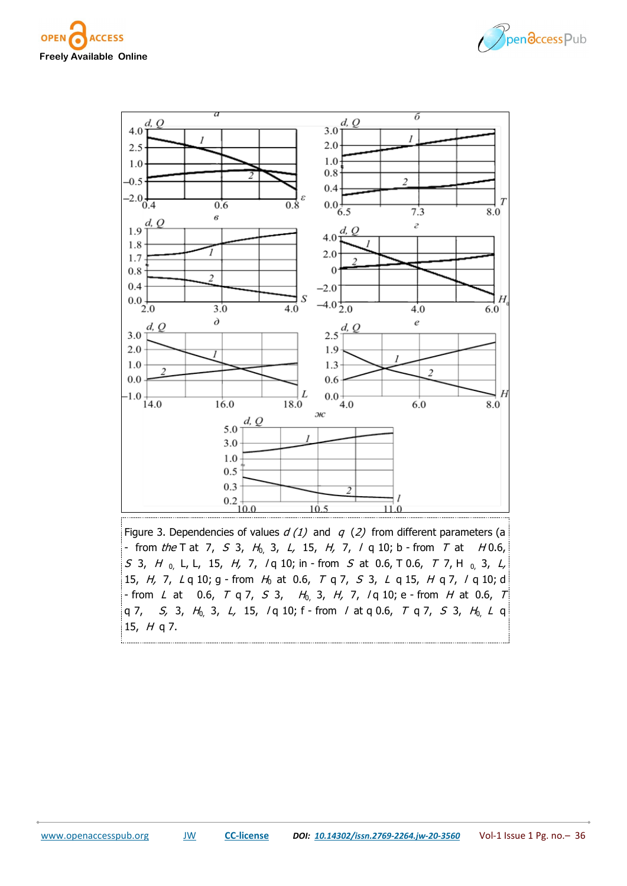



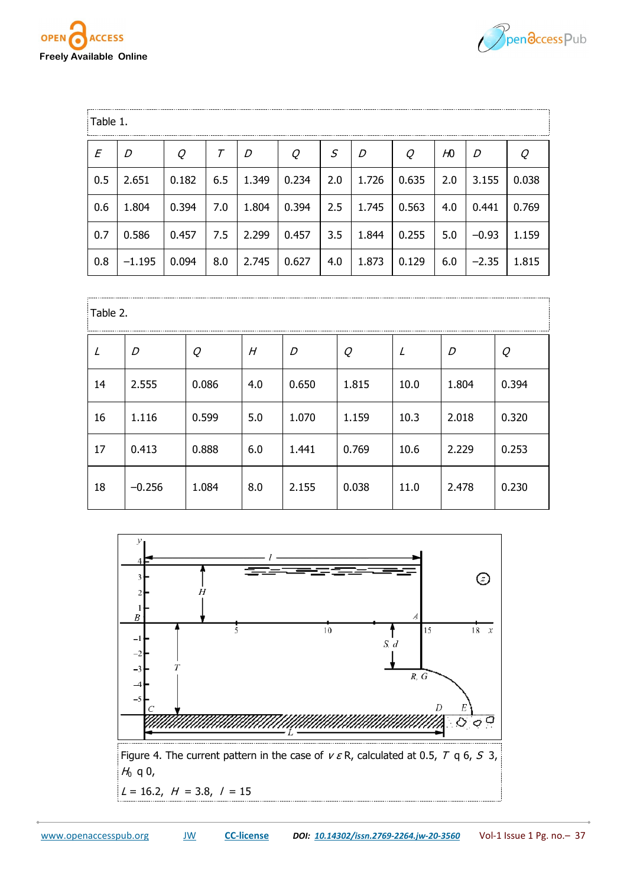



| Table 1. |          |       |     |       |       |     |       |       |     |         |       |  |
|----------|----------|-------|-----|-------|-------|-----|-------|-------|-----|---------|-------|--|
| E        | D        | Q     | Τ   | D     | Q     | S   | D     | Q     | Ю   | D       | Q     |  |
| 0.5      | 2.651    | 0.182 | 6.5 | 1.349 | 0.234 | 2.0 | 1.726 | 0.635 | 2.0 | 3.155   | 0.038 |  |
| 0.6      | 1.804    | 0.394 | 7.0 | 1.804 | 0.394 | 2.5 | 1.745 | 0.563 | 4.0 | 0.441   | 0.769 |  |
| 0.7      | 0.586    | 0.457 | 7.5 | 2.299 | 0.457 | 3.5 | 1.844 | 0.255 | 5.0 | $-0.93$ | 1.159 |  |
| 0.8      | $-1.195$ | 0.094 | 8.0 | 2.745 | 0.627 | 4.0 | 1.873 | 0.129 | 6.0 | $-2.35$ | 1.815 |  |

| Table 2. |          |       |     |       |       |      |       |       |  |  |
|----------|----------|-------|-----|-------|-------|------|-------|-------|--|--|
|          | D        | Q     | Н   | D     | Q     | L    | D     | Q     |  |  |
| 14       | 2.555    | 0.086 | 4.0 | 0.650 | 1.815 | 10.0 | 1.804 | 0.394 |  |  |
| 16       | 1.116    | 0.599 | 5.0 | 1.070 | 1.159 | 10.3 | 2.018 | 0.320 |  |  |
| 17       | 0.413    | 0.888 | 6.0 | 1.441 | 0.769 | 10.6 | 2.229 | 0.253 |  |  |
| 18       | $-0.256$ | 1.084 | 8.0 | 2.155 | 0.038 | 11.0 | 2.478 | 0.230 |  |  |

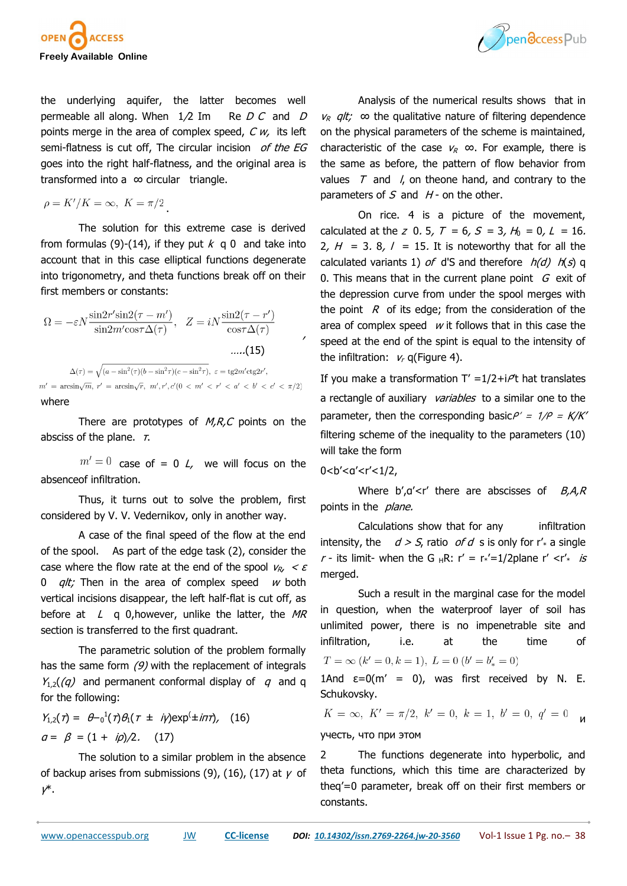

the underlying aquifer, the latter becomes well permeable all along. When  $1/2$  Im Re D C and D points merge in the area of complex speed,  $C w$ , its left semi-flatness is cut off, The circular incision of the EG goes into the right half-flatness, and the original area is transformed into a ∞ circular triangle.

$$
\rho = K'/K = \infty, \ K = \pi/2
$$

The solution for this extreme case is derived from formulas (9)-(14), if they put  $k \neq 0$  and take into account that in this case elliptical functions degenerate into trigonometry, and theta functions break off on their first members or constants:

$$
\Omega = -\varepsilon N \frac{\sin 2r' \sin 2(\tau - m')}{\sin 2m' \cos \tau \Delta(\tau)}, \quad Z = iN \frac{\sin 2(\tau - r')}{\cos \tau \Delta(\tau)}
$$
.....(15)

 $\Delta(\tau) = \sqrt{(a - \sin^2(\tau)(b - \sin^2 \tau)(c - \sin^2 \tau)}, \ \varepsilon = \text{tg2}m' \text{ctg2}r',$  $m' = \arcsin\sqrt{m}$ ,  $r' = \arcsin\sqrt{r}$ ,  $m', r', c'(0 < m' < r' < a' < b' < c' < \pi/2$ where

There are prototypes of  $M, R, C$  points on the absciss of the plane.  $\tau$ .

 $m'=0$  case of = 0 L, we will focus on the absenceof infiltration.

Thus, it turns out to solve the problem, first considered by V. V. Vedernikov, only in another way.

A case of the final speed of the flow at the end of the spool. As part of the edge task (2), consider the case where the flow rate at the end of the spool  $V_R$ ,  $\lt E$ 0  $alt:$  Then in the area of complex speed w both vertical incisions disappear, the left half-flat is cut off, as before at  $L \neq 0$ , however, unlike the latter, the MR section is transferred to the first quadrant.

The parametric solution of the problem formally has the same form  $(9)$  with the replacement of integrals  $Y_{1,2}$ (q) and permanent conformal display of q and q for the following:

$$
Y_{1,2}(\tau) = \theta - 0^{1}(\tau)\theta_{1}(\tau = i\gamma) \exp(\pm i\pi\tau), \quad (16)
$$
  
\n
$$
a = \beta = (1 + i\rho)/2. \quad (17)
$$

The solution to a similar problem in the absence of backup arises from submissions (9), (16), (17) at  $\gamma$  of γ\*.

Analysis of the numerical results shows that in  $v_R$  *qlt;* ∞ the qualitative nature of filtering dependence on the physical parameters of the scheme is maintained, characteristic of the case  $v_R \infty$ . For example, there is the same as before, the pattern of flow behavior from values  $T$  and  $\ell$ , on theone hand, and contrary to the parameters of  $S$  and  $H$  - on the other.

On rice. 4 is a picture of the movement, calculated at the z 0. 5,  $T = 6$ ,  $S = 3$ ,  $H_0 = 0$ ,  $L = 16$ . 2,  $H = 3$ . 8,  $l = 15$ . It is noteworthy that for all the calculated variants 1) of d'S and therefore  $h(d)$   $h(s)$  q 0. This means that in the current plane point  $G$  exit of the depression curve from under the spool merges with the point  $R$  of its edge; from the consideration of the area of complex speed  $w$  it follows that in this case the speed at the end of the spint is equal to the intensity of the infiltration:  $v_r$  q(Figure 4).

If you make a transformation  $T' = 1/2 + i$  hat translates a rectangle of auxiliary variables to a similar one to the parameter, then the corresponding basic $P' = 1/P = K/K'$ filtering scheme of the inequality to the parameters (10) will take the form

0<b'<α'<r'<1/2,

,

Where  $b'$ , $a'$  there are abscisses of  $B$ , $A$ , $R$ points in the *plane.* 

Calculations show that for any infiltration intensity, the  $d > S$ , ratio of d s is only for r' a single r - its limit- when the G  $_HR$ : r' = r<sub>\*</sub>'=1/2plane r' <r'<sub>\*</sub> is merged.

Such a result in the marginal case for the model in question, when the waterproof layer of soil has unlimited power, there is no impenetrable site and infiltration, i.e. at the time of  $T = \infty (k' = 0, k = 1), L = 0 (b' = b'_{*} = 0)$ 

1And  $\varepsilon=0$ (m' = 0), was first received by N. E. Schukovsky.

 $K = \infty$ ,  $K' = \pi/2$ ,  $k' = 0$ ,  $k = 1$ ,  $b' = 0$ ,  $q' = 0$ и учесть, что при этом

2 The functions degenerate into hyperbolic, and theta functions, which this time are characterized by theq'=0 parameter, break off on their first members or constants.

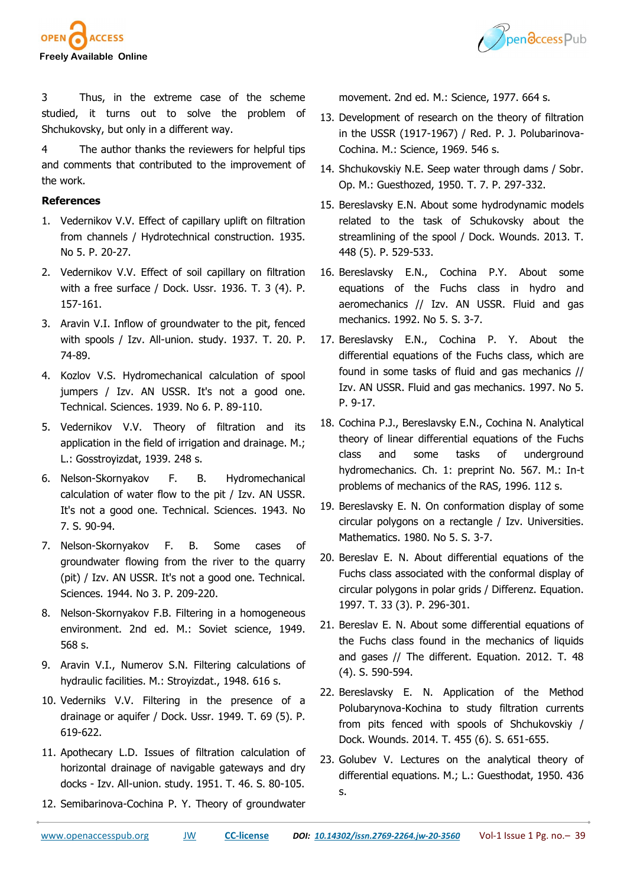



3 Thus, in the extreme case of the scheme studied, it turns out to solve the problem of Shchukovsky, but only in a different way.

4 The author thanks the reviewers for helpful tips and comments that contributed to the improvement of the work.

## **References**

- 1. Vedernikov V.V. Effect of capillary uplift on filtration from channels / Hydrotechnical construction. 1935. No 5. P. 20-27.
- 2. Vedernikov V.V. Effect of soil capillary on filtration with a free surface / Dock. Ussr. 1936. T. 3 (4). P. 157-161.
- 3. Aravin V.I. Inflow of groundwater to the pit, fenced with spools / Izv. All-union. study. 1937. T. 20. P. 74-89.
- 4. Kozlov V.S. Hydromechanical calculation of spool jumpers / Izv. AN USSR. It's not a good one. Technical. Sciences. 1939. No 6. P. 89-110.
- 5. Vedernikov V.V. Theory of filtration and its application in the field of irrigation and drainage. M.; L.: Gosstroyizdat, 1939. 248 s.
- 6. Nelson-Skornyakov F. B. Hydromechanical calculation of water flow to the pit / Izv. AN USSR. It's not a good one. Technical. Sciences. 1943. No 7. S. 90-94.
- 7. Nelson-Skornyakov F. B. Some cases of groundwater flowing from the river to the quarry (pit) / Izv. AN USSR. It's not a good one. Technical. Sciences. 1944. No 3. P. 209-220.
- 8. Nelson-Skornyakov F.B. Filtering in a homogeneous environment. 2nd ed. M.: Soviet science, 1949. 568 s.
- 9. Aravin V.I., Numerov S.N. Filtering calculations of hydraulic facilities. M.: Stroyizdat., 1948. 616 s.
- 10. Vederniks V.V. Filtering in the presence of a drainage or aquifer / Dock. Ussr. 1949. T. 69 (5). P. 619-622.
- 11. Apothecary L.D. Issues of filtration calculation of horizontal drainage of navigable gateways and dry docks - Izv. All-union. study. 1951. T. 46. S. 80-105.
- 12. Semibarinova-Cochina P. Y. Theory of groundwater

movement. 2nd ed. M.: Science, 1977. 664 s.

- 13. Development of research on the theory of filtration in the USSR (1917-1967) / Red. P. J. Polubarinova-Cochina. M.: Science, 1969. 546 s.
- 14. Shchukovskiy N.E. Seep water through dams / Sobr. Op. M.: Guesthozed, 1950. T. 7. P. 297-332.
- 15. Bereslavsky E.N. About some hydrodynamic models related to the task of Schukovsky about the streamlining of the spool / Dock. Wounds. 2013. T. 448 (5). P. 529-533.
- 16. Bereslavsky E.N., Cochina P.Y. About some equations of the Fuchs class in hydro and aeromechanics // Izv. AN USSR. Fluid and gas mechanics. 1992. No 5. S. 3-7.
- 17. Bereslavsky E.N., Cochina P. Y. About the differential equations of the Fuchs class, which are found in some tasks of fluid and gas mechanics // Izv. AN USSR. Fluid and gas mechanics. 1997. No 5. P. 9-17.
- 18. Cochina P.J., Bereslavsky E.N., Cochina N. Analytical theory of linear differential equations of the Fuchs class and some tasks of underground hydromechanics. Ch. 1: preprint No. 567. M.: In-t problems of mechanics of the RAS, 1996. 112 s.
- 19. Bereslavsky E. N. On conformation display of some circular polygons on a rectangle / Izv. Universities. Mathematics. 1980. No 5. S. 3-7.
- 20. Bereslav E. N. About differential equations of the Fuchs class associated with the conformal display of circular polygons in polar grids / Differenz. Equation. 1997. T. 33 (3). P. 296-301.
- 21. Bereslav E. N. About some differential equations of the Fuchs class found in the mechanics of liquids and gases // The different. Equation. 2012. T. 48 (4). S. 590-594.
- 22. Bereslavsky E. N. Application of the Method Polubarynova-Kochina to study filtration currents from pits fenced with spools of Shchukovskiy / Dock. Wounds. 2014. T. 455 (6). S. 651-655.
- 23. Golubev V. Lectures on the analytical theory of differential equations. M.; L.: Guesthodat, 1950. 436 s.